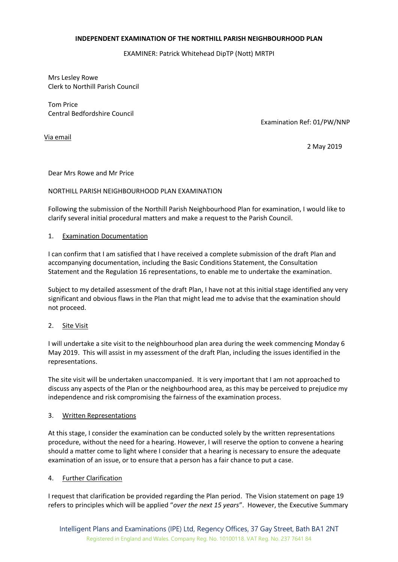#### **INDEPENDENT EXAMINATION OF THE NORTHILL PARISH NEIGHBOURHOOD PLAN**

EXAMINER: Patrick Whitehead DipTP (Nott) MRTPI

Mrs Lesley Rowe Clerk to Northill Parish Council

Tom Price Central Bedfordshire Council

Examination Ref: 01/PW/NNP

Via email

2 May 2019

Dear Mrs Rowe and Mr Price

## NORTHILL PARISH NEIGHBOURHOOD PLAN EXAMINATION

Following the submission of the Northill Parish Neighbourhood Plan for examination, I would like to clarify several initial procedural matters and make a request to the Parish Council.

#### 1. Examination Documentation

I can confirm that I am satisfied that I have received a complete submission of the draft Plan and accompanying documentation, including the Basic Conditions Statement, the Consultation Statement and the Regulation 16 representations, to enable me to undertake the examination.

Subject to my detailed assessment of the draft Plan, I have not at this initial stage identified any very significant and obvious flaws in the Plan that might lead me to advise that the examination should not proceed.

## 2. Site Visit

I will undertake a site visit to the neighbourhood plan area during the week commencing Monday 6 May 2019. This will assist in my assessment of the draft Plan, including the issues identified in the representations.

The site visit will be undertaken unaccompanied. It is very important that I am not approached to discuss any aspects of the Plan or the neighbourhood area, as this may be perceived to prejudice my independence and risk compromising the fairness of the examination process.

#### 3. Written Representations

At this stage, I consider the examination can be conducted solely by the written representations procedure, without the need for a hearing. However, I will reserve the option to convene a hearing should a matter come to light where I consider that a hearing is necessary to ensure the adequate examination of an issue, or to ensure that a person has a fair chance to put a case.

## 4. Further Clarification

I request that clarification be provided regarding the Plan period. The Vision statement on page 19 refers to principles which will be applied "*over the next 15 years*". However, the Executive Summary